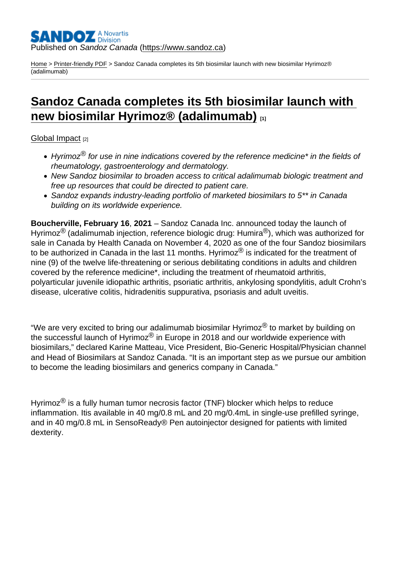## Published on Sandoz Canada [\(https://www.sandoz.ca](https://www.sandoz.ca))

[Home](https://www.sandoz.ca/en) > [Printer-friendly PDF](https://www.sandoz.ca/en/printpdf) > Sandoz Canada completes its 5th biosimilar launch with new biosimilar Hyrimoz® (adalimumab)

# [Sandoz Canada completes its 5th biosimilar launch with](https://www.sandoz.ca/en/stories/global-impact/sandoz-canada-completes-its-5th-biosimilar-launch-new-biosimilar-hyrimoz)  new biosimilar Hyrimoz<sup>®</sup> (adalimumab) [1]

## [Global Impact](https://www.sandoz.ca/en/stories/global-impact) [2]

- $\bullet$  Hyrimoz<sup>®</sup> for use in nine indications covered by the reference medicine\* in the fields of rheumatology, gastroenterology and dermatology.
- New Sandoz biosimilar to broaden access to critical adalimumab biologic treatment and free up resources that could be directed to patient care.
- Sandoz expands industry-leading portfolio of marketed biosimilars to 5\*\* in Canada building on its worldwide experience.

Boucherville, February 16 , 2021 – Sandoz Canada Inc. announced today the launch of Hyrimoz $^{\circledR}$  (adalimumab injection, reference biologic drug: Humira $^{\circledR}$ ), which was authorized for sale in Canada by Health Canada on November 4, 2020 as one of the four Sandoz biosimilars to be authorized in Canada in the last 11 months. Hyrimoz<sup>®</sup> is indicated for the treatment of nine (9) of the twelve life-threatening or serious debilitating conditions in adults and children covered by the reference medicine\*, including the treatment of rheumatoid arthritis, polyarticular juvenile idiopathic arthritis, psoriatic arthritis, ankylosing spondylitis, adult Crohn's disease, ulcerative colitis, hidradenitis suppurativa, psoriasis and adult uveitis.

"We are very excited to bring our adalimumab biosimilar Hyrimoz® to market by building on the successful launch of Hyrimoz® in Europe in 2018 and our worldwide experience with biosimilars," declared Karine Matteau, Vice President, Bio-Generic Hospital/Physician channel and Head of Biosimilars at Sandoz Canada. "It is an important step as we pursue our ambition to become the leading biosimilars and generics company in Canada."

Hyrimoz $^{\circledR}$  is a fully human tumor necrosis factor (TNF) blocker which helps to reduce inflammation. Itis available in 40 mg/0.8 mL and 20 mg/0.4mL in single-use prefilled syringe, and in 40 mg/0.8 mL in SensoReady® Pen autoinjector designed for patients with limited dexterity.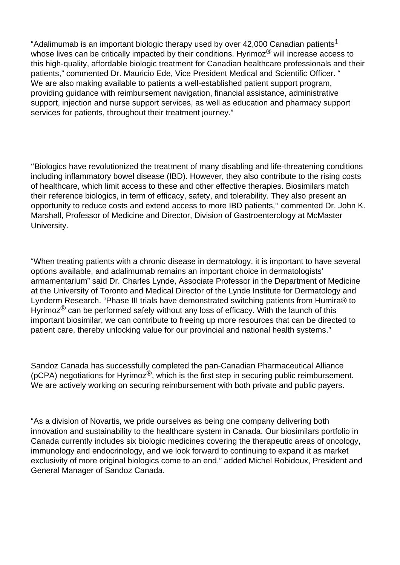"Adalimumab is an important biologic therapy used by over 42,000 Canadian patients<sup>1</sup> whose lives can be critically impacted by their conditions. Hyrimoz<sup>®</sup> will increase access to this high-quality, affordable biologic treatment for Canadian healthcare professionals and their patients," commented Dr. Mauricio Ede, Vice President Medical and Scientific Officer. " We are also making available to patients a well-established patient support program, providing guidance with reimbursement navigation, financial assistance, administrative support, injection and nurse support services, as well as education and pharmacy support services for patients, throughout their treatment journey."

''Biologics have revolutionized the treatment of many disabling and life-threatening conditions including inflammatory bowel disease (IBD). However, they also contribute to the rising costs of healthcare, which limit access to these and other effective therapies. Biosimilars match their reference biologics, in term of efficacy, safety, and tolerability. They also present an opportunity to reduce costs and extend access to more IBD patients,'' commented Dr. John K. Marshall, Professor of Medicine and Director, Division of Gastroenterology at McMaster University.

"When treating patients with a chronic disease in dermatology, it is important to have several options available, and adalimumab remains an important choice in dermatologists' armamentarium" said Dr. Charles Lynde, Associate Professor in the Department of Medicine at the University of Toronto and Medical Director of the Lynde Institute for Dermatology and Lynderm Research. "Phase III trials have demonstrated switching patients from Humira® to Hyrimoz<sup>®</sup> can be performed safely without any loss of efficacy. With the launch of this important biosimilar, we can contribute to freeing up more resources that can be directed to patient care, thereby unlocking value for our provincial and national health systems."

Sandoz Canada has successfully completed the pan-Canadian Pharmaceutical Alliance (pCPA) negotiations for Hyrimoz<sup>®</sup>, which is the first step in securing public reimbursement. We are actively working on securing reimbursement with both private and public payers.

"As a division of Novartis, we pride ourselves as being one company delivering both innovation and sustainability to the healthcare system in Canada. Our biosimilars portfolio in Canada currently includes six biologic medicines covering the therapeutic areas of oncology, immunology and endocrinology, and we look forward to continuing to expand it as market exclusivity of more original biologics come to an end," added Michel Robidoux, President and General Manager of Sandoz Canada.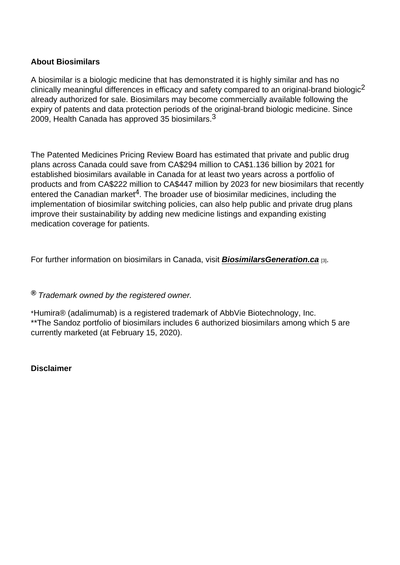### About Biosimilars

A biosimilar is a biologic medicine that has demonstrated it is highly similar and has no clinically meaningful differences in efficacy and safety compared to an original-brand biologic<sup>2</sup> already authorized for sale. Biosimilars may become commercially available following the expiry of patents and data protection periods of the original-brand biologic medicine. Since 2009, Health Canada has approved 35 biosimilars.<sup>3</sup>

The Patented Medicines Pricing Review Board has estimated that private and public drug plans across Canada could save from CA\$294 million to CA\$1.136 billion by 2021 for established biosimilars available in Canada for at least two years across a portfolio of products and from CA\$222 million to CA\$447 million by 2023 for new biosimilars that recently entered the Canadian market<sup>4</sup>. The broader use of biosimilar medicines, including the implementation of biosimilar switching policies, can also help public and private drug plans improve their sustainability by adding new medicine listings and expanding existing medication coverage for patients.

For further information on biosimilars in Canada, visit BiosimilarsGeneration.ca [3].

 $\mathcal{R}$  Trademark owned by the registered owner.

\*Humira® (adalimumab) is a registered trademark of AbbVie Biotechnology, Inc. \*\*The Sandoz portfolio of biosimilars includes 6 authorized biosimilars among which 5 are currently marketed (at February 15, 2020).

**Disclaimer**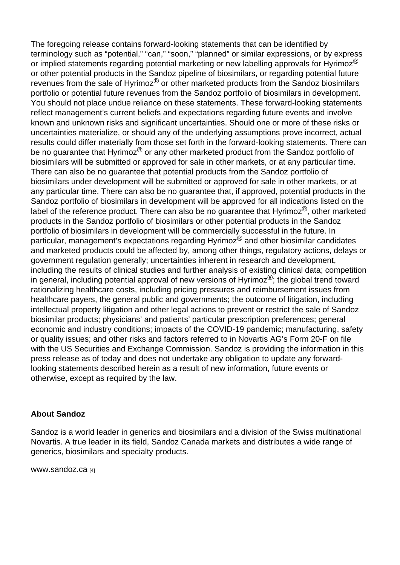The foregoing release contains forward-looking statements that can be identified by terminology such as "potential," "can," "soon," "planned" or similar expressions, or by express or implied statements regarding potential marketing or new labelling approvals for Hyrimoz<sup>®</sup> or other potential products in the Sandoz pipeline of biosimilars, or regarding potential future revenues from the sale of Hyrimoz® or other marketed products from the Sandoz biosimilars portfolio or potential future revenues from the Sandoz portfolio of biosimilars in development. You should not place undue reliance on these statements. These forward-looking statements reflect management's current beliefs and expectations regarding future events and involve known and unknown risks and significant uncertainties. Should one or more of these risks or uncertainties materialize, or should any of the underlying assumptions prove incorrect, actual results could differ materially from those set forth in the forward-looking statements. There can be no quarantee that Hyrimoz<sup>®</sup> or any other marketed product from the Sandoz portfolio of biosimilars will be submitted or approved for sale in other markets, or at any particular time. There can also be no guarantee that potential products from the Sandoz portfolio of biosimilars under development will be submitted or approved for sale in other markets, or at any particular time. There can also be no guarantee that, if approved, potential products in the Sandoz portfolio of biosimilars in development will be approved for all indications listed on the label of the reference product. There can also be no quarantee that Hyrimoz<sup>®</sup>, other marketed products in the Sandoz portfolio of biosimilars or other potential products in the Sandoz portfolio of biosimilars in development will be commercially successful in the future. In particular, management's expectations regarding Hyrimoz $^{\circledR}$  and other biosimilar candidates and marketed products could be affected by, among other things, regulatory actions, delays or government regulation generally; uncertainties inherent in research and development, including the results of clinical studies and further analysis of existing clinical data; competition in general, including potential approval of new versions of Hyrimoz<sup>®</sup>; the global trend toward rationalizing healthcare costs, including pricing pressures and reimbursement issues from healthcare payers, the general public and governments; the outcome of litigation, including intellectual property litigation and other legal actions to prevent or restrict the sale of Sandoz biosimilar products; physicians' and patients' particular prescription preferences; general economic and industry conditions; impacts of the COVID-19 pandemic; manufacturing, safety or quality issues; and other risks and factors referred to in Novartis AG's Form 20-F on file with the US Securities and Exchange Commission. Sandoz is providing the information in this press release as of today and does not undertake any obligation to update any forwardlooking statements described herein as a result of new information, future events or otherwise, except as required by the law.

#### About Sandoz

Sandoz is a world leader in generics and biosimilars and a division of the Swiss multinational Novartis. A true leader in its field, Sandoz Canada markets and distributes a wide range of generics, biosimilars and specialty products.

#### [www.sandoz.ca](https:///C:/Users/patton/AppData/Local/Microsoft/Windows/INetCache/Content.Outlook/IJE30NLJ/www.sandoz.ca) [4]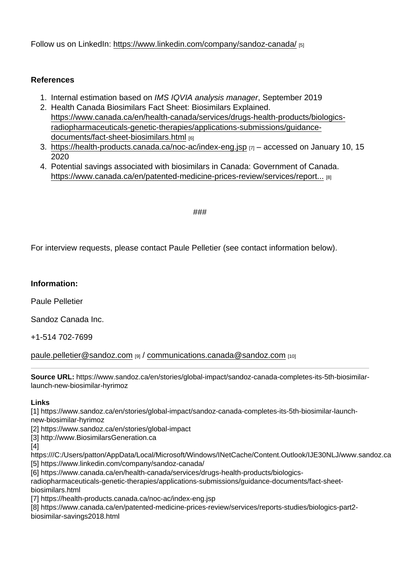Follow us on LinkedIn[:](https://www.linkedin.com/company/sandoz-canada/) https://www.linkedin.com/company/sandoz-canada/ [5]

References

- 1. Internal estimation based on IMS IQVIA analysis manager, September 2019
- 2. Health Canada Biosimilars Fact Sheet: Biosimilars Explained. https://www.canada.ca/en/health-canada/services/drugs-health-products/biologicsradiopharmaceuticals-genetic-therapies/applications-submissions/guidancedocuments/fact-sheet-biosimilars.html [6]
- 3. <https://health-products.canada.ca/noc-ac/index-eng.jsp>  $_{[7]}$  accessed on January 10, 15 2020
- 4. Potential savings associated with biosimilars in Canada: Government of Canada. [https://www.canada.ca/en/patented-medicine-prices-review/services/report...](https://www.canada.ca/en/patented-medicine-prices-review/services/reports-studies/biologics-part2-biosimilar-savings2018.html) [8]

###

For interview requests, please contact Paule Pelletier (see contact information below).

Information:

Paule Pelletier

Sandoz Canada Inc.

+1-514 702-7699

[paule.pelletier@sandoz.com](mailto:paule.pelletier@sandoz.com) [9] / [communications.canada@sandoz.com](mailto:communications.canada@sandoz.com) [10]

Source URL: https://www.sandoz.ca/en/stories/global-impact/sandoz-canada-completes-its-5th-biosimilarlaunch-new-biosimilar-hyrimoz

Links

[1] https://www.sandoz.ca/en/stories/global-impact/sandoz-canada-completes-its-5th-biosimilar-launch-

new-biosimilar-hyrimoz

[2] https://www.sandoz.ca/en/stories/global-impact

[3] http://www.BiosimilarsGeneration.ca

[4]

https:///C:/Users/patton/AppData/Local/Microsoft/Windows/INetCache/Content.Outlook/IJE30NLJ/www.sandoz.ca [5] https://www.linkedin.com/company/sandoz-canada/

[6] https://www.canada.ca/en/health-canada/services/drugs-health-products/biologics-

radiopharmaceuticals-genetic-therapies/applications-submissions/guidance-documents/fact-sheetbiosimilars.html

[7] https://health-products.canada.ca/noc-ac/index-eng.jsp

[8] https://www.canada.ca/en/patented-medicine-prices-review/services/reports-studies/biologics-part2 biosimilar-savings2018.html